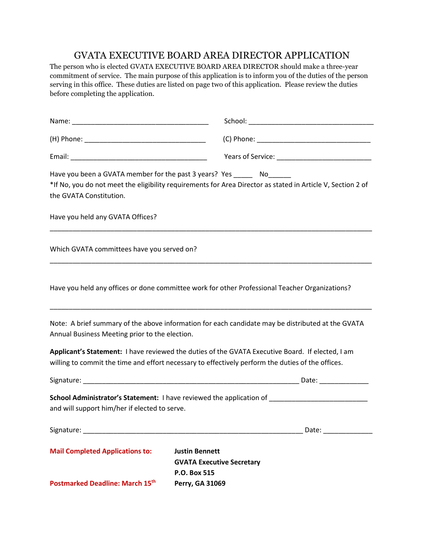## GVATA EXECUTIVE BOARD AREA DIRECTOR APPLICATION

The person who is elected GVATA EXECUTIVE BOARD AREA DIRECTOR should make a three-year commitment of service. The main purpose of this application is to inform you of the duties of the person serving in this office. These duties are listed on page two of this application. Please review the duties before completing the application.

| the GVATA Constitution.                        | Have you been a GVATA member for the past 3 years? Yes _______ No_______<br>*If No, you do not meet the eligibility requirements for Area Director as stated in Article V, Section 2 of               |
|------------------------------------------------|-------------------------------------------------------------------------------------------------------------------------------------------------------------------------------------------------------|
| Have you held any GVATA Offices?               |                                                                                                                                                                                                       |
| Which GVATA committees have you served on?     |                                                                                                                                                                                                       |
|                                                | Have you held any offices or done committee work for other Professional Teacher Organizations?                                                                                                        |
| Annual Business Meeting prior to the election. | Note: A brief summary of the above information for each candidate may be distributed at the GVATA                                                                                                     |
|                                                | Applicant's Statement: I have reviewed the duties of the GVATA Executive Board. If elected, I am<br>willing to commit the time and effort necessary to effectively perform the duties of the offices. |
|                                                |                                                                                                                                                                                                       |
| and will support him/her if elected to serve.  | School Administrator's Statement: I have reviewed the application of ______________________________                                                                                                   |
|                                                |                                                                                                                                                                                                       |
| <b>Mail Completed Applications to:</b>         | <b>Justin Bennett</b><br><b>GVATA Executive Secretary</b><br>P.O. Box 515                                                                                                                             |
| Postmarked Deadline: March 15 <sup>th</sup>    | Perry, GA 31069                                                                                                                                                                                       |